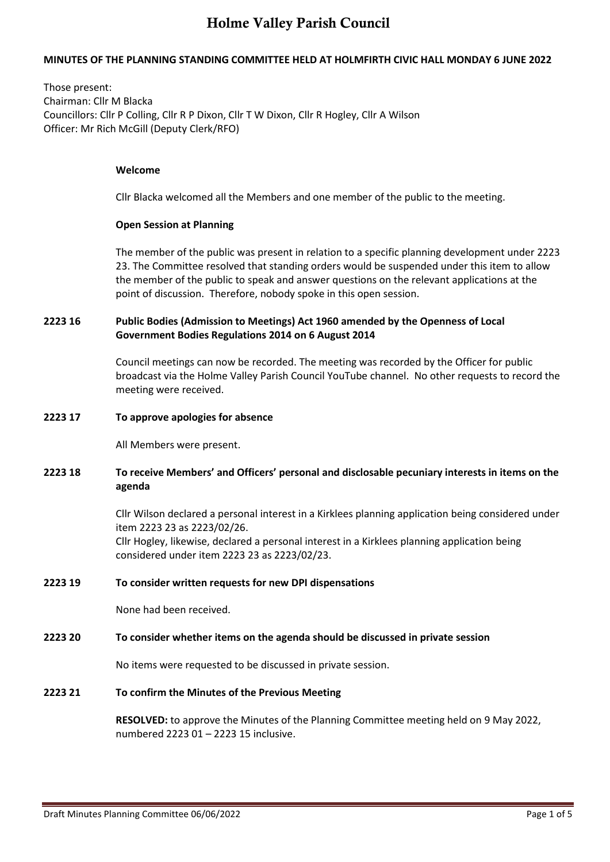## **MINUTES OF THE PLANNING STANDING COMMITTEE HELD AT HOLMFIRTH CIVIC HALL MONDAY 6 JUNE 2022**

Those present: Chairman: Cllr M Blacka Councillors: Cllr P Colling, Cllr R P Dixon, Cllr T W Dixon, Cllr R Hogley, Cllr A Wilson Officer: Mr Rich McGill (Deputy Clerk/RFO)

#### **Welcome**

Cllr Blacka welcomed all the Members and one member of the public to the meeting.

#### **Open Session at Planning**

The member of the public was present in relation to a specific planning development under 2223 23. The Committee resolved that standing orders would be suspended under this item to allow the member of the public to speak and answer questions on the relevant applications at the point of discussion. Therefore, nobody spoke in this open session.

## **2223 16 Public Bodies (Admission to Meetings) Act 1960 amended by the Openness of Local Government Bodies Regulations 2014 on 6 August 2014**

Council meetings can now be recorded. The meeting was recorded by the Officer for public broadcast via the Holme Valley Parish Council YouTube channel. No other requests to record the meeting were received.

#### **2223 17 To approve apologies for absence**

All Members were present.

### **2223 18 To receive Members' and Officers' personal and disclosable pecuniary interests in items on the agenda**

Cllr Wilson declared a personal interest in a Kirklees planning application being considered under item 2223 23 as 2223/02/26. Cllr Hogley, likewise, declared a personal interest in a Kirklees planning application being considered under item 2223 23 as 2223/02/23.

### **2223 19 To consider written requests for new DPI dispensations**

None had been received.

### **2223 20 To consider whether items on the agenda should be discussed in private session**

No items were requested to be discussed in private session.

### **2223 21 To confirm the Minutes of the Previous Meeting**

**RESOLVED:** to approve the Minutes of the Planning Committee meeting held on 9 May 2022, numbered 2223 01 – 2223 15 inclusive.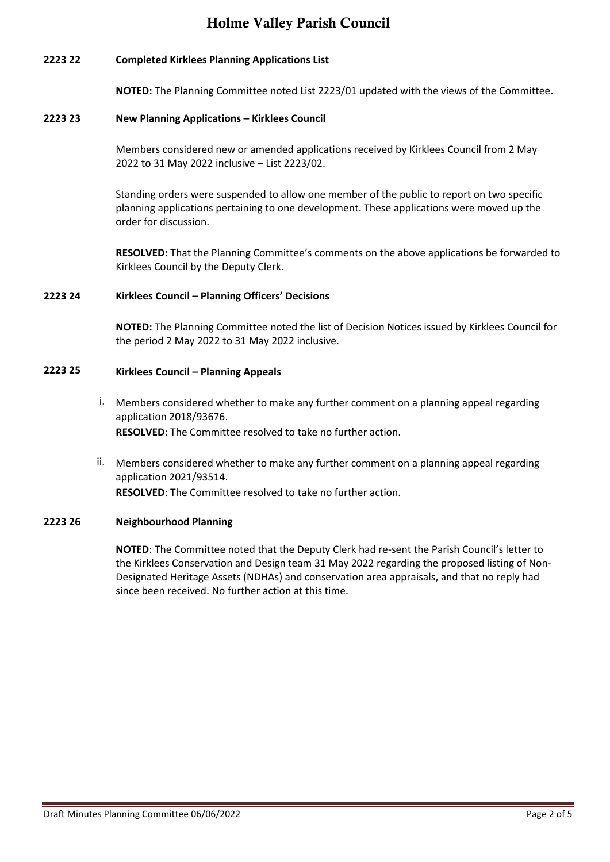## **2223 22 Completed Kirklees Planning Applications List**

**NOTED:** The Planning Committee noted List 2223/01 updated with the views of the Committee.

## **2223 23 New Planning Applications – Kirklees Council**

Members considered new or amended applications received by Kirklees Council from 2 May 2022 to 31 May 2022 inclusive – List 2223/02.

Standing orders were suspended to allow one member of the public to report on two specific planning applications pertaining to one development. These applications were moved up the order for discussion.

**RESOLVED:** That the Planning Committee's comments on the above applications be forwarded to Kirklees Council by the Deputy Clerk.

### **2223 24 Kirklees Council – Planning Officers' Decisions**

**NOTED:** The Planning Committee noted the list of Decision Notices issued by Kirklees Council for the period 2 May 2022 to 31 May 2022 inclusive.

## **2223 25 Kirklees Council – Planning Appeals**

- i. Members considered whether to make any further comment on a planning appeal regarding application 2018/93676. **RESOLVED**: The Committee resolved to take no further action.
- ii. Members considered whether to make any further comment on a planning appeal regarding application 2021/93514. **RESOLVED**: The Committee resolved to take no further action.

## **2223 26 Neighbourhood Planning**

**NOTED**: The Committee noted that the Deputy Clerk had re-sent the Parish Council's letter to the Kirklees Conservation and Design team 31 May 2022 regarding the proposed listing of Non-Designated Heritage Assets (NDHAs) and conservation area appraisals, and that no reply had since been received. No further action at this time.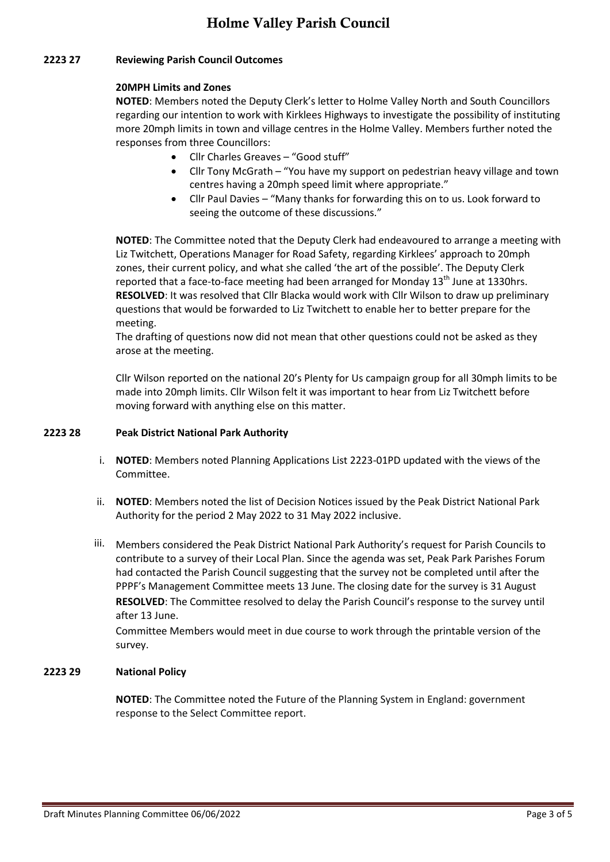## **2223 27 Reviewing Parish Council Outcomes**

## **20MPH Limits and Zones**

**NOTED**: Members noted the Deputy Clerk's letter to Holme Valley North and South Councillors regarding our intention to work with Kirklees Highways to investigate the possibility of instituting more 20mph limits in town and village centres in the Holme Valley. Members further noted the responses from three Councillors:

- Cllr Charles Greaves "Good stuff"
- Cllr Tony McGrath "You have my support on pedestrian heavy village and town centres having a 20mph speed limit where appropriate."
- Cllr Paul Davies "Many thanks for forwarding this on to us. Look forward to seeing the outcome of these discussions."

**NOTED**: The Committee noted that the Deputy Clerk had endeavoured to arrange a meeting with Liz Twitchett, Operations Manager for Road Safety, regarding Kirklees' approach to 20mph zones, their current policy, and what she called 'the art of the possible'. The Deputy Clerk reported that a face-to-face meeting had been arranged for Monday 13<sup>th</sup> June at 1330hrs. **RESOLVED**: It was resolved that Cllr Blacka would work with Cllr Wilson to draw up preliminary questions that would be forwarded to Liz Twitchett to enable her to better prepare for the meeting.

The drafting of questions now did not mean that other questions could not be asked as they arose at the meeting.

Cllr Wilson reported on the national 20's Plenty for Us campaign group for all 30mph limits to be made into 20mph limits. Cllr Wilson felt it was important to hear from Liz Twitchett before moving forward with anything else on this matter.

## **2223 28 Peak District National Park Authority**

- i. **NOTED**: Members noted Planning Applications List 2223-01PD updated with the views of the Committee.
- ii. **NOTED**: Members noted the list of Decision Notices issued by the Peak District National Park Authority for the period 2 May 2022 to 31 May 2022 inclusive.
- iii. Members considered the Peak District National Park Authority's request for Parish Councils to contribute to a survey of their Local Plan. Since the agenda was set, Peak Park Parishes Forum had contacted the Parish Council suggesting that the survey not be completed until after the PPPF's Management Committee meets 13 June. The closing date for the survey is 31 August **RESOLVED**: The Committee resolved to delay the Parish Council's response to the survey until after 13 June.

Committee Members would meet in due course to work through the printable version of the survey.

## **2223 29 National Policy**

**NOTED**: The Committee noted the Future of the Planning System in England: government response to the Select Committee report.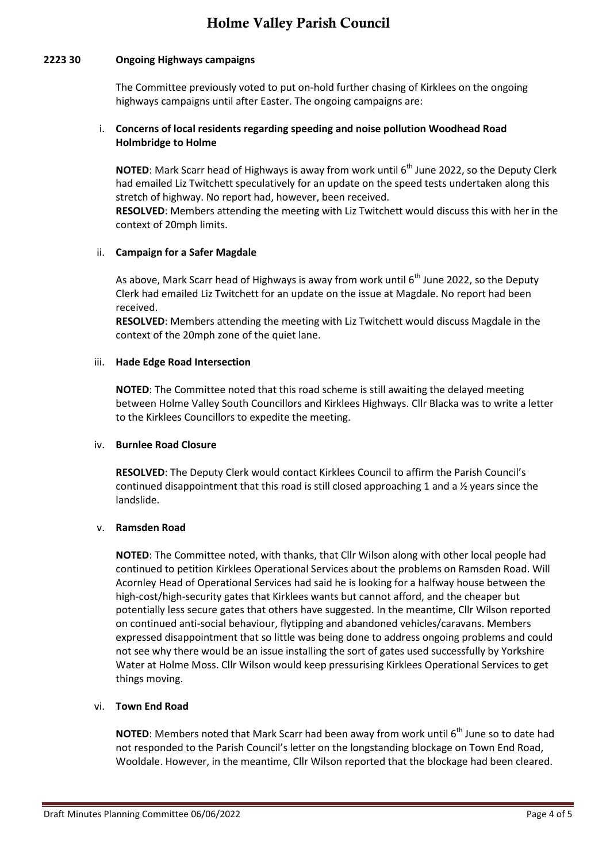## **2223 30 Ongoing Highways campaigns**

The Committee previously voted to put on-hold further chasing of Kirklees on the ongoing highways campaigns until after Easter. The ongoing campaigns are:

## i. **Concerns of local residents regarding speeding and noise pollution Woodhead Road Holmbridge to Holme**

**NOTED**: Mark Scarr head of Highways is away from work until 6<sup>th</sup> June 2022, so the Deputy Clerk had emailed Liz Twitchett speculatively for an update on the speed tests undertaken along this stretch of highway. No report had, however, been received.

**RESOLVED**: Members attending the meeting with Liz Twitchett would discuss this with her in the context of 20mph limits.

### ii. **Campaign for a Safer Magdale**

As above, Mark Scarr head of Highways is away from work until  $6<sup>th</sup>$  June 2022, so the Deputy Clerk had emailed Liz Twitchett for an update on the issue at Magdale. No report had been received.

**RESOLVED**: Members attending the meeting with Liz Twitchett would discuss Magdale in the context of the 20mph zone of the quiet lane.

## iii. **Hade Edge Road Intersection**

**NOTED**: The Committee noted that this road scheme is still awaiting the delayed meeting between Holme Valley South Councillors and Kirklees Highways. Cllr Blacka was to write a letter to the Kirklees Councillors to expedite the meeting.

### iv. **Burnlee Road Closure**

**RESOLVED**: The Deputy Clerk would contact Kirklees Council to affirm the Parish Council's continued disappointment that this road is still closed approaching 1 and a  $\frac{1}{2}$  years since the landslide.

### v. **Ramsden Road**

**NOTED**: The Committee noted, with thanks, that Cllr Wilson along with other local people had continued to petition Kirklees Operational Services about the problems on Ramsden Road. Will Acornley Head of Operational Services had said he is looking for a halfway house between the high-cost/high-security gates that Kirklees wants but cannot afford, and the cheaper but potentially less secure gates that others have suggested. In the meantime, Cllr Wilson reported on continued anti-social behaviour, flytipping and abandoned vehicles/caravans. Members expressed disappointment that so little was being done to address ongoing problems and could not see why there would be an issue installing the sort of gates used successfully by Yorkshire Water at Holme Moss. Cllr Wilson would keep pressurising Kirklees Operational Services to get things moving.

### vi. **Town End Road**

**NOTED**: Members noted that Mark Scarr had been away from work until 6<sup>th</sup> June so to date had not responded to the Parish Council's letter on the longstanding blockage on Town End Road, Wooldale. However, in the meantime, Cllr Wilson reported that the blockage had been cleared.